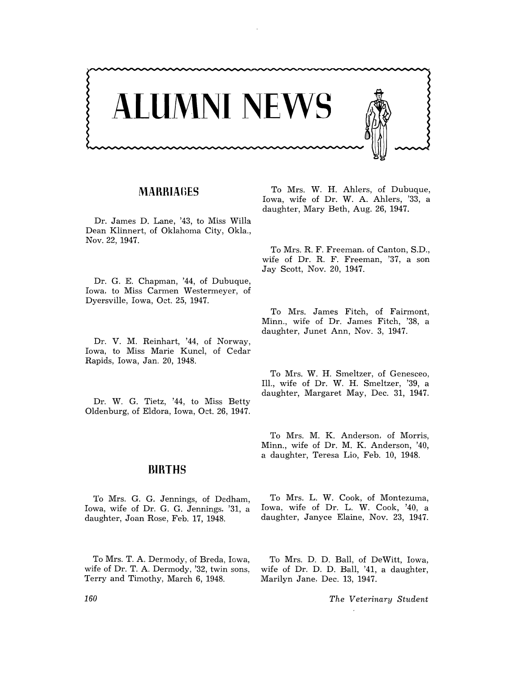

## **MARRIAnES**

Dr. James D. Lane, '43, to Miss Willa Dean Klinnert, of Oklahoma City, Okla., Nov. 22, 1947.

Dr. G. E. Chapman, '44, of Dubuque, Iowa, to Miss Carmen Westermeyer, of Dyersville, Iowa, Oct. 25, 1947.

Dr. V. M. Reinhart, '44, of Norway, Iowa, to Miss Marie Kuncl, of Cedar Rapids, Iowa, Jan. 20, 1948.

Dr. W. G. Tietz, '44, to Miss Betty Oldenburg, of Eldora, Iowa, Oct. 26, 1947.

#### **BIRTHS**

To Mrs. G. G. Jennings, of Dedham, Iowa, wife of Dr. G. G. Jennings, '31, a daughter, Joan Rose, Feb. 17, 1948.

To Mrs. T. A. Dermody, of Breda, Iowa, wife of Dr. T. A. Dermody, '32, twin sons, Terry and Timothy, March 6, 1948.

To Mrs. W. H. Ahlers, of Dubuque, Iowa, wife of Dr. W. A. Ahlers, '33, a daughter, Mary Beth, Aug. 26, 1947.

To Mrs. R. F. Freeman, of Canton, S.D., wife of Dr. R. F. Freeman, '37, a son Jay Scott, Nov. 20, 1947.

To Mrs. James Fitch, of Fairmont, Minn., wife of Dr. James Fitch, '38, a daughter, Junet Ann, Nov. 3, 1947.

To Mrs. W. H. Smeltzer, of Genesceo, Ill., wife of Dr. W. H. Smeltzer, '39, a daughter, Margaret May, Dec. 31, 1947.

To Mrs. M. K. Anderson, of Morris, Minn., wife of Dr. M. K. Anderson, '40, a daughter, Teresa Lio, Feb. 10, 1948.

To Mrs. L. W. Cook, of Montezuma, Iowa, wife of Dr. L. W. Cook, '40, a daughter, Janyce Elaine, Nov. 23, 1947.

To Mrs. D. D. Ball, of DeWitt, Iowa, wife of Dr. D. D. Ball, '41, a daughter, Marilyn Jane, Dec. 13, 1947.

*The Veterinary Student* 

*160*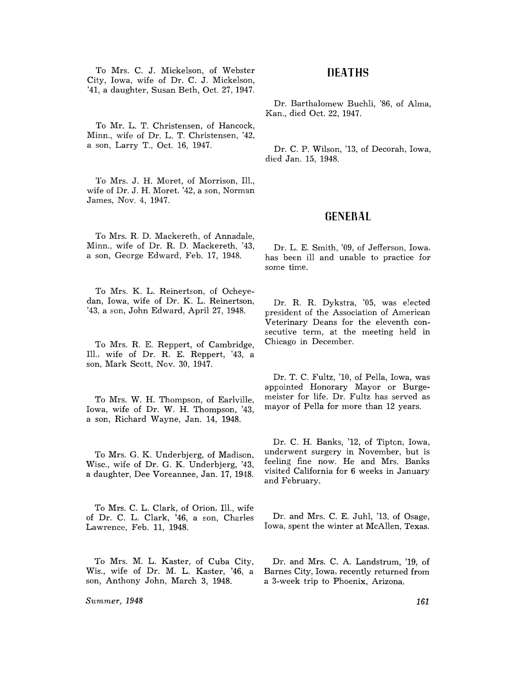To Mrs. C. J. Mickelson, of Webster City, Iowa, wife of Dr. C. J. Mickelson, '41, a daughter, Susan Beth, Oct. 27, 1947.

To Mr. L. T. Christensen, of Hancock, Minn., wife of Dr. L. T. Christensen, '42, a son, Larry T., Oct. 16, 1947.

To Mrs. J. H. Moret, of Morrison, Ill., wife of Dr. J. H. Moret. '42, a son, Norman James, Nov. 4, 1947.

To Mrs. R. D. Mackereth, of Annadale, Minn., wife of Dr. R. D. Mackereth. '43, a son, George Edward, Feb. 17, 1948.

To Mrs. K. L. Reinertson, of Ocheyedan, Iowa, wife of Dr. K. L. Reinertson, '43, a son, John Edward, April 27, 1948.

To Mrs. R. E. Reppert, of Cambridge, Ill., wife of Dr. R. E. Reppert, '43, a son, Mark Scott, Nov. 30, 1947.

To Mrs. W. H. Thompson, of Earlville, Iowa, wife of Dr. W. H. Thompson, '43, a son, Richard Wayne, Jan. 14, 1948.

To Mrs. G. K. Underbjerg, of Madison, Wisc., wife of Dr. G. K. Underbjerg, '43, a daughter, Dee Voreannee, Jan. 17, 1948.

To Mrs. C. L. Clark, of Orion, 111., wife of Dr. C. L. Clark, '46, a son, Charles Lawrence, Feb. 11, 1948.

To Mrs. M. L. Kaster, of Cuba City, Wis., wife of Dr. M. L. Kaster, '46, a son, Anthony John, March 3, 1948.

*Summer, 1948* 

# **nEATHS**

Dr. Barthalomew Buchli, '86, of Alma, Kan., died Oct. 22, 1947.

Dr. C. P. Wilson, '13, of Decorah, Iowa, died Jan. 15, 1948.

## **GENERAL**

Dr. L. E. Smith, '09, of Jefferson, Iowa, has been ill and unable to practice for some time.

Dr. R. R. Dykstra, '05, was elected president of the Association of American Veterinary Deans for the eleventh consecutive term, at the meeting held in Chicago in December.

Dr. T. C. Fultz, '10, of Pella, Iowa, was appointed Honorary Mayor or Burgemeister for life. Dr. Fultz has served as mayor of Pella for more than 12 years.

Dr. C. H. Banks, '12, of Tipton, Iowa, underwent surgery in November, but is feeling fine now. He and Mrs. Banks visited California for 6 weeks in January and February.

Dr. and Mrs. C. E. Juhl, '13, of Osage, Iowa, spent the winter at McAllen, Texas.

Dr. and Mrs. C. A. Landstrum, '19, of Barnes City, Iowa, recently returned from a 3-week trip to Phoenix, Arizona.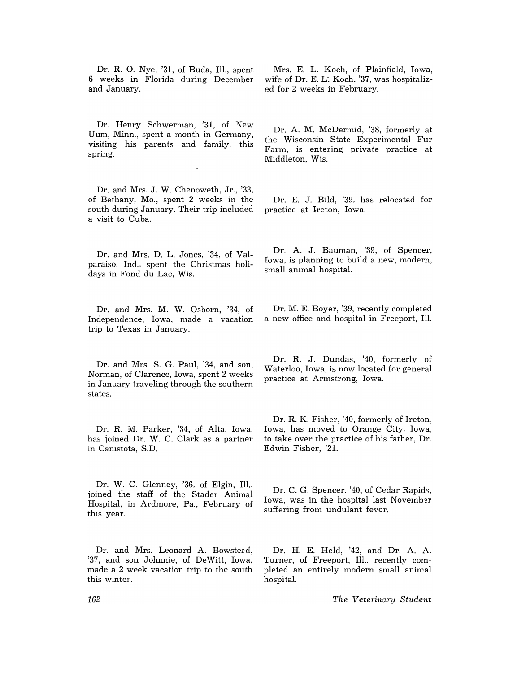Dr. R. O. Nye, '31, of Buda, Ill., spent 6 weeks in Florida during December and January.

Dr. Henry Schwerman, '31, of New Dum, Minn., spent a month in Germany, visiting his parents and family, this spring.

Dr. and Mrs. J. W. Chenoweth, Jr., '33, of Bethany, Mo., spent 2 weeks in the south during January. Their trip included a visit to Cuba.

Dr. and Mrs. D. L. Jones, '34, of Valparaiso, Ind., spent the Christmas holidays in Fond du Lac, Wis.

Dr. and Mrs. M. W. Osborn, '34, of Independence, Iowa, made a vacation trip to Texas in January.

Dr. and Mrs. S. G. Paul, '34, and son, Norman, of Clarence, Iowa, spent 2 weeks in January traveling through the southern states.

Dr. R. M. Parker, '34, of Alta, Iowa, has ioined Dr. W. C. Clark as a partner in Canistota, S.D.

Dr. W. C. Glenney, '36, of Elgin, Ill., joined the staff of the Stader Animal Hospital, in Ardmore, Pa., February of this year.

Dr. and Mrs. Leonard A. Bowstead, '37, and son Johnnie, of DeWitt, Iowa, made a 2 week vacation trip to the south this winter.

Mrs. E. L. Koch, of Plainfield, Iowa, wife of Dr. E. L: Koch, '37, was hospitalized for 2 weeks in February.

Dr. A. M. McDermid, '38, formerly at the Wisconsin State Experimental Fur Farm, is entering private practice at Middleton, Wis.

Dr. E. J. Bild, '39, has relocated for practice at Ireton, Iowa.

Dr. A. J. Bauman, '39, of Spencer, Iowa, is planning to build a new, modern, small animal hospital.

Dr. M. E. Boyer, '39, recently completed a new office and hospital in Freeport, Ill.

Dr. R. J. Dundas, '40, formerly of Waterloo, Iowa, is now located for general practice at Armstrong, Iowa.

Dr. R. K. Fisher, '40, formerly of Ireton, Iowa, has moved to Orange City, Iowa, to take over the practice of his father, Dr. Edwin Fisher, '21.

Dr. C. G. Spencer, '40, of Cedar Rapids, Iowa, was in the hospital last November suffering from undulant fever.

Dr. H. E. Held, '42, and Dr. A. A. Turner, of Freeport, Ill., recently completed an entirely modern small animal hospital.